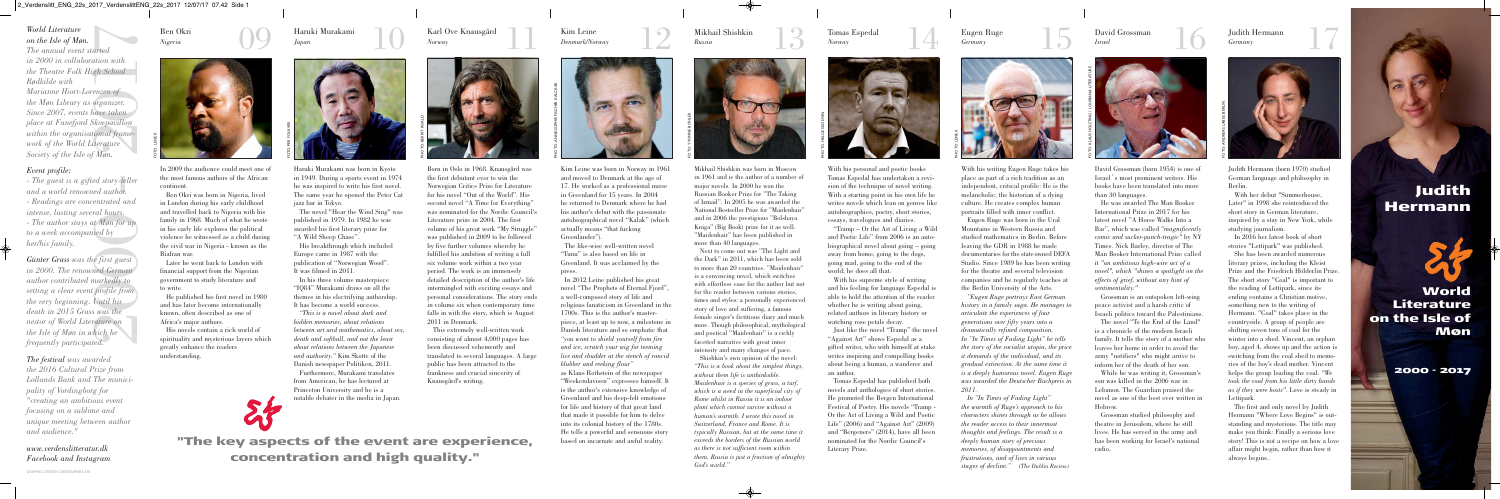the most famous authors of the African continent.

Ben Okri was born in Nigeria, lived in London during his early childhood and travelled back to Nigeria with his family in 1968. Much of what he wrote in his early life explores the political violence he witnessed as a child during the civil war in Nigeria - known as the Biafran war.

Later he went back to London with financial support from the Nigerian government to study literature and to write.

He published his first novel in 1980 and has later become internationally known, often described as one of Africa's major authors.

His novels contain a rich world of spirituality and mysterious layers which greatly enhance the readers understanding.

Ben Okri *Nigeria*

# *World Literature on the Isle of Møn.*

*The annual event started in 2000 in collaboration with the Theatre Folk High School Rødkilde with Marianne Hiort-Lorenzen of the Møn Library as organizer. Since 2007, events have taken place at Fanefjord Skovpavillon within the organisational framework of the World Literature Society of the Isle of Møn.*

# *Event profile:*

*- The guest is a gifted story-teller and a world renowned author.*

- *Readings are concentrated and intense, lasting several hours.*
- *The author stays at Møn for up to a week accompanied by her/his family.*

*Günter Grass was the first guest in 2000. The renowned German author contributed markedly to setting a clear event profile from the very beginning. Until his death in 2015 Grass was the nestor of World Literature on the Isle of Møn in which he frequently participated.*

I Kim Leine<br>Denmark/Norway I 2 Kim Leine *Denmark/Norway*

*The festival was awarded the 2016 Cultural Prize from Lollands Bank and The municipality of Vordingborg for "creating an ambitious event focusing on a sublime and unique meeting between author and audience."* 

*www.verdenslitteratur.dk Facebook and Instagram* "The key aspects of the event are experience, concentration and high quality."

Kim Leine was born in Norway in 1961 and moved to Denmark at the age of 17. He worked as a professional nurse in Greenland for 15 years. In 2004 he returned to Denmark where he had his author's debut with the passionate autobiographical novel "Kalak" (which actually means "that fucking Greenlander").

The like-wise well-written novel "Tunu" is also based on life in Greenland. It was acclaimed by the press.

In 2012 Leine published his great novel "The Prophets of Eternal Fjord", a well-composed story of life and religious fanaticism in Greenland in the 1700s. This is the author's masterpiece, at least up to now, a milestone in Danish literature and so emphatic that *"you want to shield yourself from fire and ice, scratch your wig for teeming lice and shudder at the stench of rancid blubber and reeking flour"*

as Klaus Rothstein of the newspaper "Weekendavisen" expresses himself. It is the author's extensive knowledge of Greenland and his deep-felt emotions for life and history of that great land that made it possible for him to delve into its colonial history of the 1780s. He tells a powerful and sensuous story based on incarnate and awful reality.

Mikhail Shishkin *Russia* **14 C**<br>*Russia* **14 C**<br>*Russia* **14 C**<br>*Russia* **14 C**<br>*Russia* **14 C**<br>*Russia* **14 C** 

Born in Oslo in 1968. Knausgård was the first debutant ever to win the Norwegian Critics Prize for Literature for his novel "Out of the World". His second novel "A Time for Everything" was nominated for the Nordic Council's Literature prize in 2004. The first volume of his great work "My Struggle" was published in 2009 to be followed by five further volumes whereby he fulfilled his ambition of writing a full six volume work within a two year period. The work is an immensely detailed description of the author's life intermingled with exciting essays and personal considerations. The story ends in volume six when contemporary time falls in with the story, which is August 2011 in Denmark.

This extremely well-written work consisting of almost 4,000 pages has been discussed vehemently and translated to several languages. A large public has been attracted to the frankness and crucial sincerity of Knausgård's writing.

Karl Ove Knausgård

*Norway*

Haruki Murakami was born in Kyoto in 1949. During a sports event in 1974 he was inspired to write his first novel. The same year he opened the Peter Cat jazz bar in Tokyo.

The novel "Hear the Wind Sing" was published in 1979. In 1982 he was awarded his first literary prize for "A Wild Sheep Chase".

His breakthrough which included Europe came in 1987 with the publication of "Norwegian Wood". It was filmed in 2011.

In his three volume masterpiece "IQ84" Murakami draws on all the themes in his electrifying authorship. It has become a world success.

*"This is a novel about dark and hidden memories, about relations between art and mathematics, about sex, death and softball, and not the least about relations between the Japanese and authority."* Kim Skotte of the Danish newspaper Politiken, 2011.

Furthermore, Murakami translates from American, he has lectured at Princeton University and he is a notable debater in the media in Japan.



PHOTO: BERRIT ROALD



13

Mikhail Shishkin was born in Moscow in 1961 and is the author of a number of major novels. In 2000 he won the Russian Booker Prize for "The Taking of Izmail". In 2005 he was awarded the National Bestseller Prize for "Maidenhair" and in 2006 the prestigious "Bolshaya Kniga" (Big Book) prize for it as well. "Maidenhair" has been published in more than 40 languages.



Next to come out was "The Light and the Dark" in 2011, which has been sold to more than 20 countries. "Maidenhair" is a convincing novel, which switches with effortless ease for the author but not for the reader between various stories, times and styles: a personally experienced story of love and suffering, a famous female singer's fictitious diary and much more. Though philosophical, mythological and poetical "Maidenhair" is a richly facetted narrative with great inner intensity and many changes of pace. Shishkin's own opinion of the novel: *"This is a book about the simplest things, without them life is unthinkable. Maidenhair is a species of grass, a turf, which is a weed in the superficial city of Rome whilst in Russia it is an indoor*

*plant which cannot survive without a human's warmth. I wrote this novel in Switzerland, France and Rome. It is typically Russian, but at the same time it exceeds the borders of the Russian world as there is not sufficient room within them. Russia is just a fraction of almighty God's world."*

With his personal and poetic books Tomas Espedal has undertaken a revision of the technique of novel writing. With a starting point in his own life he writes novels which lean on genres like autobiographies, poetry, short stories, essays, travelogues and diaries.

"Tramp – Or the Art of Living a Wild and Poetic Life" from 2006 is an autobiographical novel about going – going away from home, going to the dogs, going mad, going to the end of the world; he does all that.



With his supreme style of writing and his feeling for language Espedal is able to hold the attention of the reader whether he is writing about going, related authors in literary history or watching rose petals decay.

Just like the novel "Tramp" the novel "Against Art" shows Espedal as a gifted writer, who with himself at stake writes inspiring and compelling books about being a human, a wanderer and an author.

Tomas Espedal has published both novels and anthologies of short stories. He promoted the Bergen International Festival of Poetry. His novels "Tramp - Or the Art of Living a Wild and Poetic Life" (2006) and "Against Art" (2009) and "Bergeners" (2014), have all been nominated for the Nordic Council's Literary Prize.

Tomas Espedal *Norway*





With his writing Eugen Ruge takes his place as part of a rich tradition as an independent, critical profile: He is the melancholic; the historian of a dying culture. He creates complex human portraits filled with inner conflict.

Eugen Ruge was born in the Ural Mountains in Western Russia and studied mathematics in Berlin. Before leaving the GDR in 1988 he made documentaries for the stateowned DEFA Studio. Since 1989 he has been writing for the theatre and several television companies and he regularly teaches at the Berlin University of the Arts.



*"Eugen Ruge portrays East German history in a family saga. He manages to articulate the experiences of four generations over fifty years into a dramatically refined composition. In "In Times of Fading Light" he tells the story of the socialist utopia, the price it demands of the individual, and its gradual extinction. At the same time it is a deeply humorous novel. Eugen Ruge was awarded the Deutscher Buchpreis in 2011.* 

*In "In Times of Fading Light" the warmth of Ruge's approach to his characters shines through as he allows the reader access to their innermost thoughts and feelings. The result is a deeply human story of precious memories, of disappointments and frustrations, and of lives in various stages of decline." (The Dublin Review)*

Eugen Ruge *Germany*

GRAPHIC DESIGN: DESIGNMARK.DK

David Grossman (born 1954) is one of Israel´s most prominent writers. His books have been translated into more than 30 languages.

He was awarded The Man Booker International Prize in 2017 for his latest novel "A Horse Walks Into a Bar", which was called *"magnificently comic and sucker-punch-tragic"* by NY Times. Nick Barley, director of The Man Booker International Prize called it *"an ambitious high-wire act of a novel", which "shines a spotlight on the effects of grief, without any hint of sentimentality."*

Grossman is an outspoken left-wing peace activist and a harsh critic of Israeli politics toward the Palestinians.

The novel "To the End of the Land" is a chronicle of the modern Israeli family. It tells the story of a mother who leaves her home in order to avoid the army "notifiers" who might arrive to inform her of the death of her son.

While he was writing it, Grossman's son was killed in the 2006 war in Lebanon. The Guardian praised the novel as one of the best ever written in Hebrew.

Grossman studied philosophy and theatre in Jerusalem, where he still lives. He has served in the army and has been working for Israel's national radio.

David Grossman *Israel*



Judith Hermann (born 1970) studied German language and philosophy in Berlin.

With her debut "Summerhouse, Later" in 1998 she reintroduced the short story in German literature, inspired by a stay in New York, while studying journalism.

In 2016 her latest book of short stories "Lettipark" was published.

She has been awarded numerous literary prizes, including the Kleist Prize and the Friedrich Hölderlin Prize. The short story "Coal" is important to the reading of Lettipark, since its ending contains a Christian motive, something new to the writing of Hermann. "Coal" takes place in the countryside. A group of people are shifting seven tons of coal for the winter into a shed. Vincent, an orphan boy, aged 4, shows up and the action is switching from the coal shed to memories of the boy's dead mother. Vincent helps the group loading the coal. *"We took the coal from his little dirty hands as if they were hosts"*. Love is steady in Lettipark.



The first and only novel by Judith Hermann "Where Love Begins" is outstanding and mysterious. The title may make you think: Finally a serious love story! This is not a recipe on how a love affair might begin, rather than how it always begins..

Judith Hermann *Germany*



FOTO: YVONNE BÖHLER